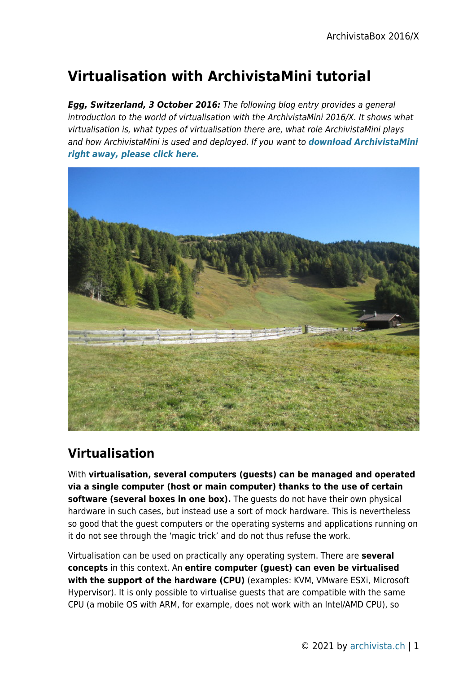# **Virtualisation with ArchivistaMini tutorial**

*Egg, Switzerland, 3 October 2016:* The following blog entry provides a general introduction to the world of virtualisation with the ArchivistaMini 2016/X. It shows what virtualisation is, what types of virtualisation there are, what role ArchivistaMini plays and how ArchivistaMini is used and deployed. If you want to *[download ArchivistaMini](https://archivista.ch/avmini.iso) [right away, please click here.](https://archivista.ch/avmini.iso)*



# **Virtualisation**

With **virtualisation, several computers (guests) can be managed and operated via a single computer (host or main computer) thanks to the use of certain** software (several boxes in one box). The quests do not have their own physical hardware in such cases, but instead use a sort of mock hardware. This is nevertheless so good that the guest computers or the operating systems and applications running on it do not see through the 'magic trick' and do not thus refuse the work.

Virtualisation can be used on practically any operating system. There are **several concepts** in this context. An **entire computer (guest) can even be virtualised with the support of the hardware (CPU)** (examples: KVM, VMware ESXi, Microsoft Hypervisor). It is only possible to virtualise guests that are compatible with the same CPU (a mobile OS with ARM, for example, does not work with an Intel/AMD CPU), so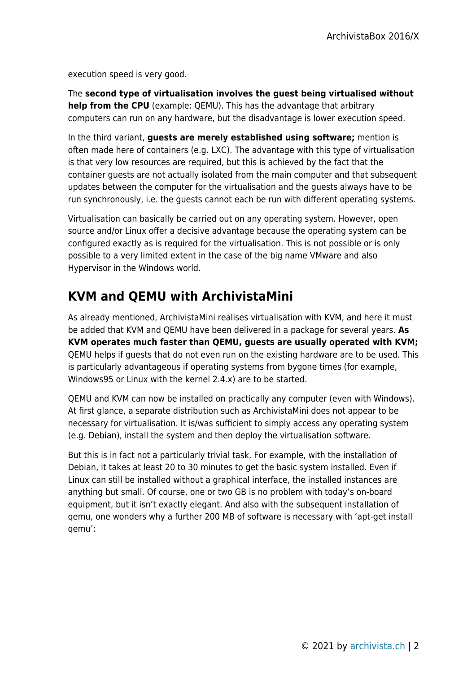execution speed is very good.

The **second type of virtualisation involves the guest being virtualised without help from the CPU** (example: QEMU). This has the advantage that arbitrary computers can run on any hardware, but the disadvantage is lower execution speed.

In the third variant, **guests are merely established using software;** mention is often made here of containers (e.g. LXC). The advantage with this type of virtualisation is that very low resources are required, but this is achieved by the fact that the container guests are not actually isolated from the main computer and that subsequent updates between the computer for the virtualisation and the guests always have to be run synchronously, i.e. the guests cannot each be run with different operating systems.

Virtualisation can basically be carried out on any operating system. However, open source and/or Linux offer a decisive advantage because the operating system can be configured exactly as is required for the virtualisation. This is not possible or is only possible to a very limited extent in the case of the big name VMware and also Hypervisor in the Windows world.

# **KVM and QEMU with ArchivistaMini**

As already mentioned, ArchivistaMini realises virtualisation with KVM, and here it must be added that KVM and QEMU have been delivered in a package for several years. **As KVM operates much faster than QEMU, guests are usually operated with KVM;** QEMU helps if guests that do not even run on the existing hardware are to be used. This is particularly advantageous if operating systems from bygone times (for example, Windows95 or Linux with the kernel 2.4.x) are to be started.

QEMU and KVM can now be installed on practically any computer (even with Windows). At first glance, a separate distribution such as ArchivistaMini does not appear to be necessary for virtualisation. It is/was sufficient to simply access any operating system (e.g. Debian), install the system and then deploy the virtualisation software.

But this is in fact not a particularly trivial task. For example, with the installation of Debian, it takes at least 20 to 30 minutes to get the basic system installed. Even if Linux can still be installed without a graphical interface, the installed instances are anything but small. Of course, one or two GB is no problem with today's on-board equipment, but it isn't exactly elegant. And also with the subsequent installation of qemu, one wonders why a further 200 MB of software is necessary with 'apt-get install qemu':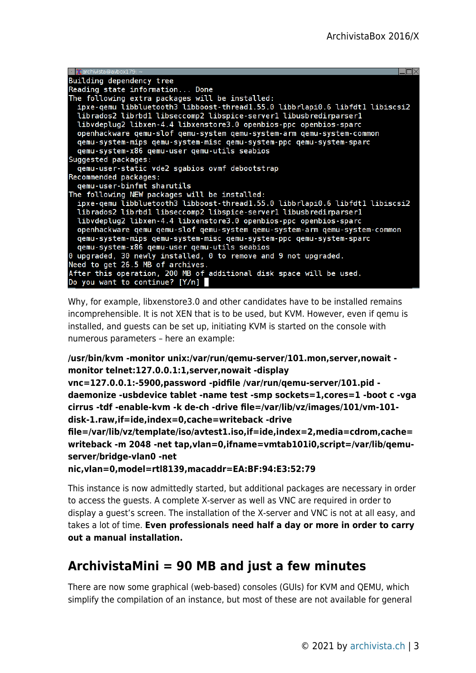| $\blacksquare$ $\mathbf{\tilde{X}}$ archivista@avbox179: $\sim$                                                 |  |
|-----------------------------------------------------------------------------------------------------------------|--|
| Building dependency tree                                                                                        |  |
| Reading state information Done                                                                                  |  |
| The following extra packages will be installed:                                                                 |  |
| ipxe-qemu libbluetooth3 libboost-thread1.55.0 libbrlapi0.6 libfdt1 libiscsi2                                    |  |
| librados2 librbd1 libseccomp2 libspice-server1 libusbredirparser1                                               |  |
| libvdeplug2 libxen-4.4 libxenstore3.0 openbios-ppc openbios-sparc                                               |  |
| openhackware qemu-slof qemu-system qemu-system-arm qemu-system-common                                           |  |
| qemu-system-mips qemu-system-misc qemu-system-ppc qemu-system-sparc                                             |  |
| qemu-system-x86 qemu-user qemu-utils seabios                                                                    |  |
| Suggested packages:                                                                                             |  |
| qemu-user-static vde2 sgabios ovmf debootstrap                                                                  |  |
| Recommended packages:                                                                                           |  |
| gemu-user-binfmt sharutils                                                                                      |  |
| The following NEW packages will be installed:                                                                   |  |
| ipxe-gemu libbluetooth3 libboost-thread1.55.0 libbrlapi0.6 libfdt1 libiscsi2                                    |  |
| librados2 librbd1 libseccomp2 libspice-server1 libusbredirparser1                                               |  |
| libvdeplug2 libxen-4.4 libxenstore3.0 openbios-ppc openbios-sparc                                               |  |
| openhackware qemu qemu-slof qemu-system qemu-system-arm qemu-system-common                                      |  |
| qemu-system-mips qemu-system-misc qemu-system-ppc qemu-system-sparc                                             |  |
| qemu-system-x86 qemu-user qemu-utils seabios<br>0 upgraded, 30 newly installed, 0 to remove and 9 not upgraded. |  |
| Need to get 26.5 MB of archives.                                                                                |  |
| After this operation, 200 MB of additional disk space will be used.                                             |  |
| Do you want to continue? [Y/n]                                                                                  |  |
|                                                                                                                 |  |

Why, for example, libxenstore3.0 and other candidates have to be installed remains incomprehensible. It is not XEN that is to be used, but KVM. However, even if qemu is installed, and guests can be set up, initiating KVM is started on the console with numerous parameters – here an example:

```
/usr/bin/kvm -monitor unix:/var/run/qemu-server/101.mon,server,nowait -
monitor telnet:127.0.0.1:1,server,nowait -display
```

```
vnc=127.0.0.1:-5900,password -pidfile /var/run/qemu-server/101.pid -
daemonize -usbdevice tablet -name test -smp sockets=1,cores=1 -boot c -vga
cirrus -tdf -enable-kvm -k de-ch -drive file=/var/lib/vz/images/101/vm-101-
disk-1.raw,if=ide,index=0,cache=writeback -drive
```

```
file=/var/lib/vz/template/iso/avtest1.iso,if=ide,index=2,media=cdrom,cache=
writeback -m 2048 -net tap,vlan=0,ifname=vmtab101i0,script=/var/lib/qemu-
server/bridge-vlan0 -net
```

```
nic,vlan=0,model=rtl8139,macaddr=EA:BF:94:E3:52:79
```
This instance is now admittedly started, but additional packages are necessary in order to access the guests. A complete X-server as well as VNC are required in order to display a guest's screen. The installation of the X-server and VNC is not at all easy, and takes a lot of time. **Even professionals need half a day or more in order to carry out a manual installation.**

# **ArchivistaMini = 90 MB and just a few minutes**

There are now some graphical (web-based) consoles (GUIs) for KVM and QEMU, which simplify the compilation of an instance, but most of these are not available for general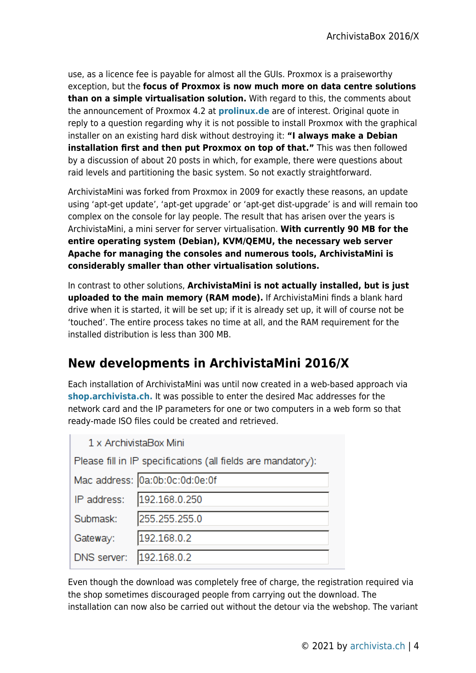use, as a licence fee is payable for almost all the GUIs. Proxmox is a praiseworthy exception, but the **focus of Proxmox is now much more on data centre solutions than on a simple virtualisation solution.** With regard to this, the comments about the announcement of Proxmox 4.2 at **[prolinux.de](http://www.pro-linux.de/news/1/23519/comm/1/show-all-comments.html)** are of interest. Original quote in reply to a question regarding why it is not possible to install Proxmox with the graphical installer on an existing hard disk without destroying it: **"I always make a Debian installation first and then put Proxmox on top of that."** This was then followed by a discussion of about 20 posts in which, for example, there were questions about raid levels and partitioning the basic system. So not exactly straightforward.

ArchivistaMini was forked from Proxmox in 2009 for exactly these reasons, an update using 'apt-get update', 'apt-get upgrade' or 'apt-get dist-upgrade' is and will remain too complex on the console for lay people. The result that has arisen over the years is ArchivistaMini, a mini server for server virtualisation. **With currently 90 MB for the entire operating system (Debian), KVM/QEMU, the necessary web server Apache for managing the consoles and numerous tools, ArchivistaMini is considerably smaller than other virtualisation solutions.**

In contrast to other solutions, **ArchivistaMini is not actually installed, but is just uploaded to the main memory (RAM mode).** If ArchivistaMini finds a blank hard drive when it is started, it will be set up; if it is already set up, it will of course not be 'touched'. The entire process takes no time at all, and the RAM requirement for the installed distribution is less than 300 MB.

# **New developments in ArchivistaMini 2016/X**

Each installation of ArchivistaMini was until now created in a web-based approach via **[shop.archivista.ch.](http://shop.archivista.ch)** It was possible to enter the desired Mac addresses for the network card and the IP parameters for one or two computers in a web form so that ready-made ISO files could be created and retrieved.

| 1 x ArchivistaBox Mini                                       |
|--------------------------------------------------------------|
| Please fill in IP specifications (all fields are mandatory): |
| Mac address: 0a:0b:0c:0d:0e:0f                               |
| IP address: 102.168.0.250                                    |

|                         | IP address: 192.168.0.250 |
|-------------------------|---------------------------|
| Submask:                | 255.255.255.0             |
| Gateway:  192.168.0.2   |                           |
| DNS server: 192.168.0.2 |                           |

Even though the download was completely free of charge, the registration required via the shop sometimes discouraged people from carrying out the download. The installation can now also be carried out without the detour via the webshop. The variant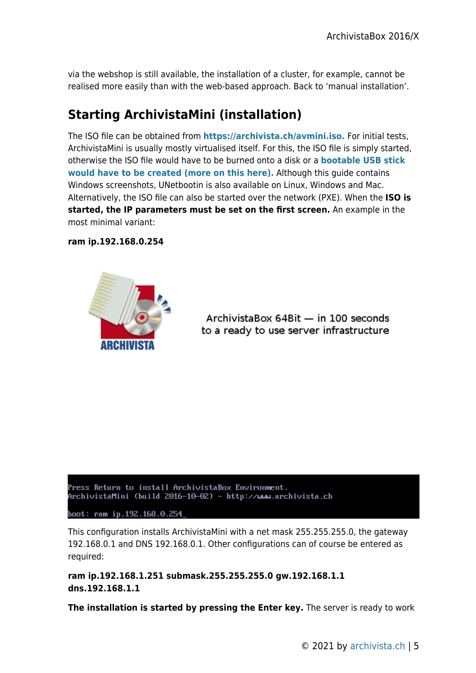via the webshop is still available, the installation of a cluster, for example, cannot be realised more easily than with the web-based approach. Back to 'manual installation'.

# **Starting ArchivistaMini (installation)**

The ISO file can be obtained from **[https://archivista.ch/avmini.iso.](https://archivista.ch/avmini.iso)** For initial tests, ArchivistaMini is usually mostly virtualised itself. For this, the ISO file is simply started, otherwise the ISO file would have to be burned onto a disk or a **[bootable USB stick](https://archivista.ch/cms/en/support-2/community/usb-stick-from-iso-file-windows) [would have to be created \(more on this here\).](https://archivista.ch/cms/en/support-2/community/usb-stick-from-iso-file-windows)** Although this guide contains Windows screenshots, UNetbootin is also available on Linux, Windows and Mac. Alternatively, the ISO file can also be started over the network (PXE). When the **ISO is started, the IP parameters must be set on the first screen.** An example in the most minimal variant:

**ram ip.192.168.0.254**



ArchivistaBox 64Bit - in 100 seconds to a ready to use server infrastructure

Press Return to install ArchivistaBox Environment. ArchivistaMini (build 2016-10-02) - http://www.archivista.ch

boot: ram ip.192.168.0.254

This configuration installs ArchivistaMini with a net mask 255.255.255.0, the gateway 192.168.0.1 and DNS 192.168.0.1. Other configurations can of course be entered as required:

**ram ip.192.168.1.251 submask.255.255.255.0 gw.192.168.1.1 dns.192.168.1.1**

**The installation is started by pressing the Enter key.** The server is ready to work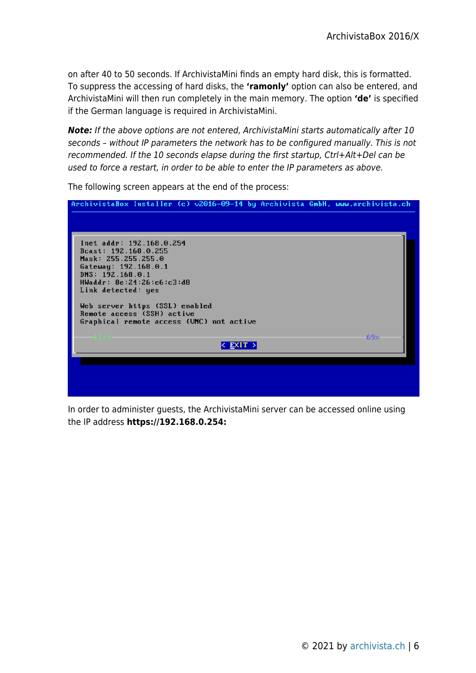on after 40 to 50 seconds. If ArchivistaMini finds an empty hard disk, this is formatted. To suppress the accessing of hard disks, the **'ramonly'** option can also be entered, and ArchivistaMini will then run completely in the main memory. The option **'de'** is specified if the German language is required in ArchivistaMini.

*Note:* If the above options are not entered, ArchivistaMini starts automatically after 10 seconds – without IP parameters the network has to be configured manually. This is not recommended. If the 10 seconds elapse during the first startup, Ctrl+Alt+Del can be used to force a restart, in order to be able to enter the IP parameters as above.

|                                                                                                               | ArchivistaBox Installer (c) v2016-09-14 by Archivista GmbH, www.archivista.ch                            |          |     |
|---------------------------------------------------------------------------------------------------------------|----------------------------------------------------------------------------------------------------------|----------|-----|
| Bcast: 192.168.0.255<br>Mask: 255.255.255.0<br>Gateway: 192.168.0.1<br>DNS: 192.168.0.1<br>Link detected: yes | Inet addr: 192.168.0.254<br>HWaddr: 8e:24:26:e6:c3:d8                                                    |          |     |
|                                                                                                               | Web server https (SSL) enabled<br>Remote access (SSH) active<br>Graphical remote access (UNC) not active |          |     |
|                                                                                                               |                                                                                                          | < EXIT > | 69% |

The following screen appears at the end of the process:

In order to administer guests, the ArchivistaMini server can be accessed online using the IP address **https://192.168.0.254:**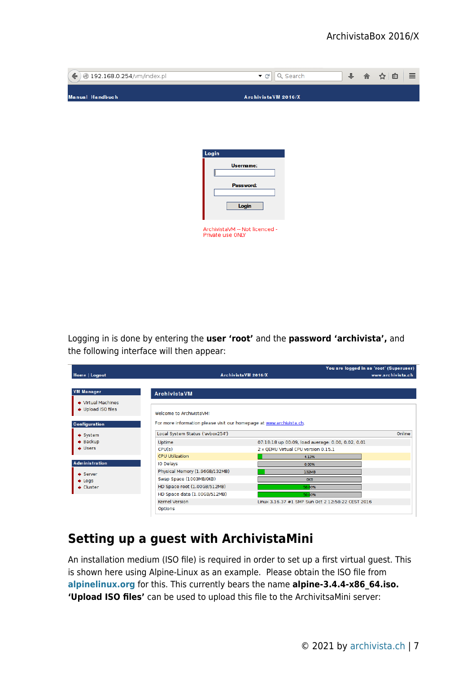| ← $\bullet$ 192.168.0.254/vm/index.pl | Q Search<br>▼ Cl                        | ↓ 俞 | $\equiv$<br>☆<br>自 |
|---------------------------------------|-----------------------------------------|-----|--------------------|
| <b>Manual Handbuch</b>                | ArchivistaVM 2016/X                     |     |                    |
|                                       |                                         |     |                    |
|                                       | Login                                   |     |                    |
|                                       | Username:<br>Password:                  |     |                    |
|                                       | Login<br>ArchivistaVM -- Not licenced - |     |                    |
|                                       | Private use ONLY                        |     |                    |
|                                       |                                         |     |                    |

Logging in is done by entering the **user 'root'** and the **password 'archivista',** and the following interface will then appear:

| Home   Logout                |                                                                      | You are logged in as 'root' (Superuser)<br>ArchivistaVM 2016/X | www.archivista.ch |
|------------------------------|----------------------------------------------------------------------|----------------------------------------------------------------|-------------------|
|                              |                                                                      |                                                                |                   |
| <b>VM Manager</b>            | <b>ArchivistaVM</b>                                                  |                                                                |                   |
| → Virtual Machines           |                                                                      |                                                                |                   |
| Upload ISO files             | Welcome to ArchivistaVM!                                             |                                                                |                   |
|                              |                                                                      |                                                                |                   |
| <b>Configuration</b>         | For more information please visit our homepage at www.archivista.ch. |                                                                |                   |
| $\blacktriangleright$ System | Local System Status ('avbox254')                                     |                                                                | Online            |
| $\rightarrow$ Backup         | Uptime                                                               | 07:18:18 up 00:09, load average: 0.00, 0.02, 0.01              |                   |
| $\bullet$ Users              | CPU(s)                                                               | 2 x QEMU Virtual CPU version 0.15.1                            |                   |
|                              | <b>CPU Utilization</b>                                               | 4.13%                                                          |                   |
| <b>Administration</b>        | IO Delays                                                            | 0.00%                                                          |                   |
| $\blacktriangleright$ Server | Physical Memory (1.96GB/132MB)                                       | 132MB                                                          |                   |
| $\triangle$ Logs             | Swap Space (1003MB/0KB)                                              | OKB                                                            |                   |
| $\bullet$ Cluster            | HD Space root (1.00GB/512MB)                                         | 50.00%                                                         |                   |
|                              | HD Space data (1.00GB/512MB)                                         | 50.00%                                                         |                   |
|                              | <b>Kernel Version</b>                                                | Linux 3.16.37 #1 SMP Sun Oct 2 12:58:22 CEST 2016              |                   |
|                              | Options                                                              |                                                                |                   |

### **Setting up a guest with ArchivistaMini**

An installation medium (ISO file) is required in order to set up a first virtual guest. This is shown here using Alpine-Linux as an example. Please obtain the ISO file from **[alpinelinux.org](http://alpinelinux.org)** for this. This currently bears the name **alpine-3.4.4-x86\_64.iso. 'Upload ISO files'** can be used to upload this file to the ArchivitsaMini server: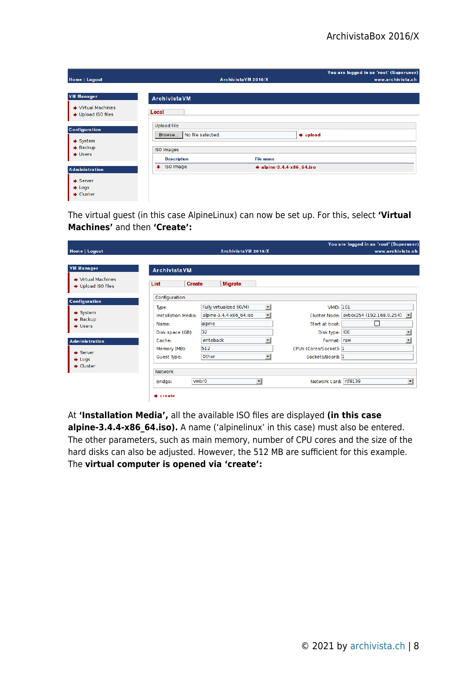| Home   Logout                                                                                | Archivista VM 2016/X                                                                                                              | You are logged in as 'root' (Superuser)<br>www.archivista.ch |
|----------------------------------------------------------------------------------------------|-----------------------------------------------------------------------------------------------------------------------------------|--------------------------------------------------------------|
| <b>VM Manager</b><br>→ Virtual Machines<br>Upload ISO files                                  | ArchivistaVM<br>Local                                                                                                             |                                                              |
| Configuration<br>$\blacktriangleright$ System<br>$\rightarrow$ Backup<br>$\rightarrow$ Users | <b>Upload File</b><br>No file selected.<br>Browse<br>$\Rightarrow$ upload<br>ISO images<br><b>File name</b><br><b>Description</b> |                                                              |
| <b>Administration</b><br>$\blacktriangleright$ Server<br>$\bullet$ Logs<br>$\bullet$ Cluster | ISO Image<br>$\bullet$ alpine-3.4.4-x86_64.iso<br>۰                                                                               |                                                              |

The virtual guest (in this case AlpineLinux) can now be set up. For this, select **'Virtual Machines'** and then **'Create':**

|                                                        |                                               |                   | ArchivistaVM 2016/X                                |                                                      | You are logged in as 'root' (Superuser)<br>www.archivista.ch |
|--------------------------------------------------------|-----------------------------------------------|-------------------|----------------------------------------------------|------------------------------------------------------|--------------------------------------------------------------|
| Home   Logout                                          |                                               |                   |                                                    |                                                      |                                                              |
| <b>VM Manager</b>                                      | <b>ArchivistaVM</b>                           |                   |                                                    |                                                      |                                                              |
| ♦ Virtual Machines<br>♦ Upload ISO files               | List                                          | <b>Create</b>     | <b>Migrate</b>                                     |                                                      |                                                              |
| <b>Configuration</b><br>$\blacktriangleright$ System   | Configuration<br>Type:<br>Installation Media: |                   | Fully virtualized (KVM)<br>alpine-3.4.4-x86 64.iso | $\overline{\phantom{a}}$<br>$\overline{\phantom{a}}$ | <b>VMID: 101</b><br>Cluster Node: avbox254 (192.168.0.254) - |
| $\rightarrow$ Backup<br>$\rightarrow$ Users            | Name:<br>Disk space (GB):                     | alpine<br>32      |                                                    | Start at boot:<br>Disk type: IDE                     | $\Box$<br>$\overline{\phantom{a}}$                           |
| Administration<br>$\bullet$ Server<br>$\triangle$ Logs | Cache:<br>Memory (MB):<br>Guest Type:         | 512<br>Other      | writeback                                          | CPUs (Cores/Socket): 1<br>٠<br>Sockets/Board: 1      | $\overline{\phantom{a}}$<br>Format: raw                      |
| $\bullet$ Cluster                                      | Network<br>Bridge:                            | vmbr <sub>0</sub> | $\vert$                                            | Network Card: rtl8139                                | $\mathbf{r}$                                                 |
|                                                        | $\bullet$ create                              |                   |                                                    |                                                      |                                                              |

At **'Installation Media',** all the available ISO files are displayed **(in this case alpine-3.4.4-x86\_64.iso).** A name ('alpinelinux' in this case) must also be entered. The other parameters, such as main memory, number of CPU cores and the size of the hard disks can also be adjusted. However, the 512 MB are sufficient for this example. The **virtual computer is opened via 'create':**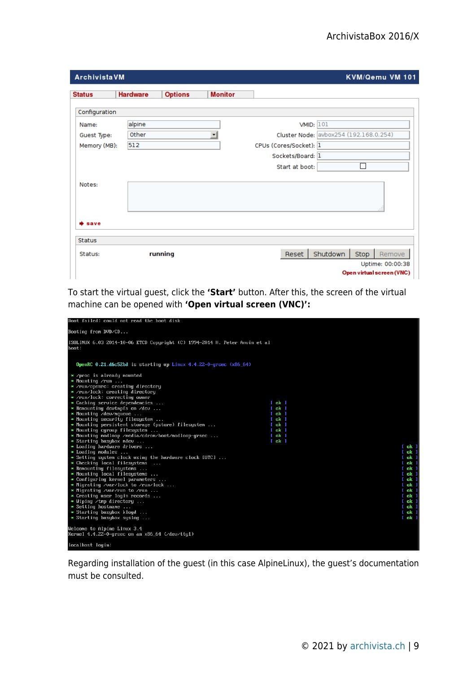| <b>ArchivistaVM</b> |                 |                |                |                        | KVM/Qemu VM 101                                |
|---------------------|-----------------|----------------|----------------|------------------------|------------------------------------------------|
| <b>Status</b>       | <b>Hardware</b> | <b>Options</b> | <b>Monitor</b> |                        |                                                |
| Configuration       |                 |                |                |                        |                                                |
| Name:               | alpine          |                |                | <b>VMID: 101</b>       |                                                |
| Guest Type:         | Other           |                | $\pmb{\cdot}$  |                        | Cluster Node: avbox254 (192.168.0.254)         |
| Memory (MB):        | 512             |                |                | CPUs (Cores/Socket): 1 |                                                |
|                     |                 |                |                | Sockets/Board: 1       |                                                |
|                     |                 |                |                | Start at boot:         | г                                              |
| Notes:              |                 |                |                |                        |                                                |
| save                |                 |                |                |                        |                                                |
| <b>Status</b>       |                 |                |                |                        |                                                |
| Status:             |                 | running        |                | Reset                  | Shutdown<br>Stop<br>Remove<br>Uptime: 00:00:38 |
|                     |                 |                |                |                        | Open virtual screen (VNC)                      |

To start the virtual guest, click the **'Start'** button. After this, the screen of the virtual machine can be opened with **'Open virtual screen (VNC)':**

| Booting from DVD/CD<br>ISOLINUX 6.03 2014-10-06 ETCD Copyright (C) 1994-2014 H. Peter Anvin et al<br>boot :<br>OpenRC 0.21.d6c52bd is starting up Linux $4.4.22 - 0$ -grsec (x86.64)<br>* /proc is already mounted<br>$*$ Mounting $\gamma$ run<br>* /run/openrc: creating directory<br>* /run/lock: creating directory<br>* /run/lock: correcting owner<br>$\ast$ Caching service dependencies<br>$[$ ok $]$<br>$\star$ Remounting deutmpfs on $\angle$ deu<br>$[$ ok $]$<br>$*$ Mounting /dev/mqueue<br>$[$ ok $]$<br>$*$ Mounting security filesystem<br>$[$ ok $]$<br>* Mounting persistent storage (pstore) filesystem<br>$[$ ok $]$<br>$*$ Mounting cgroup filesystem<br>$[$ ok $]$<br>* Mounting modloop /media/cdrom/boot/modloop-grsec<br>$[$ ok $]$<br>$[$ ok $]$<br>$\star$ Starting busybox mdev<br>* Loading hardware drivers<br>$[$ ok $]$<br>$\star$ Loading modules<br>$[$ ok $]$<br>$\star$ Setting system clock using the hardware clock [UTC]<br>$[$ ok $]$<br>$\ast$ Checking local filesystems<br>$[$ ok $]$<br>* Remounting filesystems<br>$[$ ok $]$<br>* Mounting local filesystems<br>$[$ ok $]$<br>* Configuring kernel parameters<br>$[$ ok $]$<br>* Migrating /var/lock to /run/lock<br>$[$ ok $]$<br>* Migrating /var/run to /run<br>$[$ ok $]$<br>* Creating user login records<br>$[$ ok $]$<br>$*$ Wiping /tmp directory<br>$[$ ok $]$<br>$\ast$ Setting hostname<br>$[$ ok $]$<br>* Starting busybox klogd<br>$[$ ok $]$<br>$\ast$ Starting busybox syslog<br>$[$ ok $]$<br>Welcome to Alpine Linux 3.4<br>Kernel 4.4.22-0-grsec on an x86_64 (/deu/tty1)<br>localhost login: | Boot failed: could not read the boot disk |  |  |  |  |
|----------------------------------------------------------------------------------------------------------------------------------------------------------------------------------------------------------------------------------------------------------------------------------------------------------------------------------------------------------------------------------------------------------------------------------------------------------------------------------------------------------------------------------------------------------------------------------------------------------------------------------------------------------------------------------------------------------------------------------------------------------------------------------------------------------------------------------------------------------------------------------------------------------------------------------------------------------------------------------------------------------------------------------------------------------------------------------------------------------------------------------------------------------------------------------------------------------------------------------------------------------------------------------------------------------------------------------------------------------------------------------------------------------------------------------------------------------------------------------------------------------------------------------------------------------------------------------------------------------------|-------------------------------------------|--|--|--|--|
|                                                                                                                                                                                                                                                                                                                                                                                                                                                                                                                                                                                                                                                                                                                                                                                                                                                                                                                                                                                                                                                                                                                                                                                                                                                                                                                                                                                                                                                                                                                                                                                                                |                                           |  |  |  |  |
|                                                                                                                                                                                                                                                                                                                                                                                                                                                                                                                                                                                                                                                                                                                                                                                                                                                                                                                                                                                                                                                                                                                                                                                                                                                                                                                                                                                                                                                                                                                                                                                                                |                                           |  |  |  |  |
|                                                                                                                                                                                                                                                                                                                                                                                                                                                                                                                                                                                                                                                                                                                                                                                                                                                                                                                                                                                                                                                                                                                                                                                                                                                                                                                                                                                                                                                                                                                                                                                                                |                                           |  |  |  |  |
|                                                                                                                                                                                                                                                                                                                                                                                                                                                                                                                                                                                                                                                                                                                                                                                                                                                                                                                                                                                                                                                                                                                                                                                                                                                                                                                                                                                                                                                                                                                                                                                                                |                                           |  |  |  |  |
|                                                                                                                                                                                                                                                                                                                                                                                                                                                                                                                                                                                                                                                                                                                                                                                                                                                                                                                                                                                                                                                                                                                                                                                                                                                                                                                                                                                                                                                                                                                                                                                                                |                                           |  |  |  |  |

Regarding installation of the guest (in this case AlpineLinux), the guest's documentation must be consulted.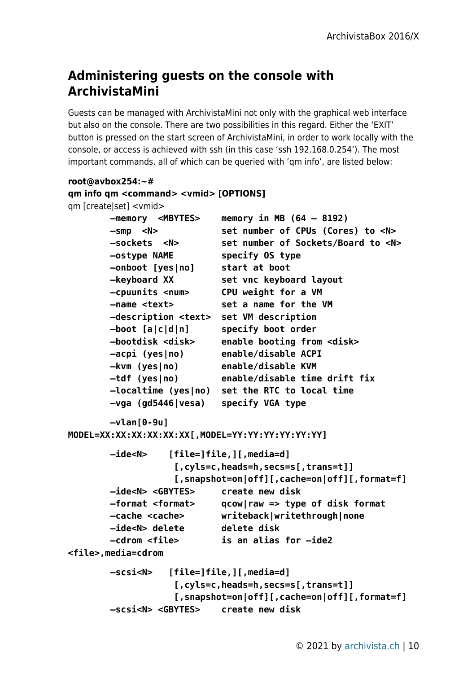### **Administering guests on the console with ArchivistaMini**

Guests can be managed with ArchivistaMini not only with the graphical web interface but also on the console. There are two possibilities in this regard. Either the 'EXIT' button is pressed on the start screen of ArchivistaMini, in order to work locally with the console, or access is achieved with ssh (in this case 'ssh 192.168.0.254'). The most important commands, all of which can be queried with 'qm info', are listed below:

#### **root@avbox254:~# qm info qm <command> <vmid> [OPTIONS]** qm [create|set] <vmid>  **–memory <MBYTES> memory in MB (64 – 8192) –smp <N> set number of CPUs (Cores) to <N> –sockets <N> set number of Sockets/Board to <N> –ostype NAME specify OS type –onboot [yes|no] start at boot –keyboard XX set vnc keyboard layout –cpuunits <num> CPU weight for a VM –name <text> set a name for the VM –description <text> set VM description –boot [a|c|d|n] specify boot order –bootdisk <disk> enable booting from <disk> –acpi (yes|no) enable/disable ACPI –kvm (yes|no) enable/disable KVM –tdf (yes|no) enable/disable time drift fix –localtime (yes|no) set the RTC to local time –vga (gd5446|vesa) specify VGA type –vlan[0-9u] MODEL=XX:XX:XX:XX:XX:XX[,MODEL=YY:YY:YY:YY:YY:YY] –ide<N> [file=]file,][,media=d] [,cyls=c,heads=h,secs=s[,trans=t]] [,snapshot=on|off][,cache=on|off][,format=f] –ide<N> <GBYTES> create new disk –format <format> qcow|raw => type of disk format –cache <cache> writeback|writethrough|none –ide<N> delete delete disk –cdrom <file> is an alias for –ide2**

**<file>,media=cdrom**

```
 –scsi<N> [file=]file,][,media=d]
             [,cyls=c,heads=h,secs=s[,trans=t]]
             [,snapshot=on|off][,cache=on|off][,format=f]
 –scsi<N> <GBYTES> create new disk
```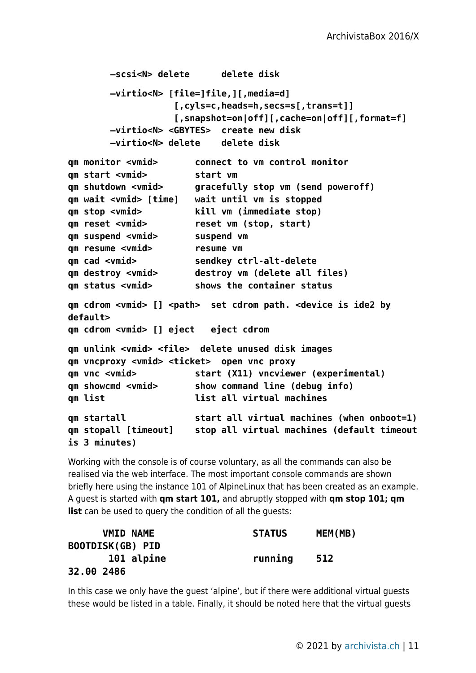```
 –scsi<N> delete delete disk
 –virtio<N> [file=]file,][,media=d]
             [,cyls=c,heads=h,secs=s[,trans=t]]
             [,snapshot=on|off][,cache=on|off][,format=f]
 –virtio<N> <GBYTES> create new disk
 –virtio<N> delete delete disk
```

| qm monitor <vmid></vmid>     | connect to vm control monitor                                                                        |
|------------------------------|------------------------------------------------------------------------------------------------------|
| qm start <vmid></vmid>       | start vm                                                                                             |
| qm shutdown <vmid></vmid>    | gracefully stop vm (send poweroff)                                                                   |
| qm wait <vmid> [time]</vmid> | wait until vm is stopped                                                                             |
| qm stop <vmid></vmid>        | kill vm (immediate stop)                                                                             |
| qm reset <vmid></vmid>       | reset vm (stop, start)                                                                               |
| qm suspend <vmid></vmid>     | suspend vm                                                                                           |
| qm resume <vmid></vmid>      | resume vm                                                                                            |
| qm cad <vmid></vmid>         | sendkey ctrl-alt-delete                                                                              |
| qm destroy <vmid></vmid>     | destroy vm (delete all files)                                                                        |
| qm status <vmid></vmid>      | shows the container status                                                                           |
|                              | qm cdrom <vmid> [] <path> set cdrom path. <device by<="" ide2="" is="" td=""></device></path></vmid> |

**default>**

**qm cdrom <vmid> [] eject eject cdrom**

```
qm unlink <vmid> <file> delete unused disk images
qm vncproxy <vmid> <ticket> open vnc proxy
qm vnc <vmid> start (X11) vncviewer (experimental)
qm showcmd <vmid> show command line (debug info)
qm list contract all virtual machines
qm startall start all virtual machines (when onboot=1)
qm stopall [timeout] stop all virtual machines (default timeout
```

```
is 3 minutes)
```
Working with the console is of course voluntary, as all the commands can also be realised via the web interface. The most important console commands are shown briefly here using the instance 101 of AlpineLinux that has been created as an example. A guest is started with **qm start 101,** and abruptly stopped with **qm stop 101; qm list** can be used to query the condition of all the quests:

| <b>VMID NAME</b> | <b>STATUS</b> | MEM(MB) |
|------------------|---------------|---------|
| BOOTDISK(GB) PID |               |         |
| 101 alpine       | running       | 512     |
| 32.00 2486       |               |         |

In this case we only have the guest 'alpine', but if there were additional virtual guests these would be listed in a table. Finally, it should be noted here that the virtual guests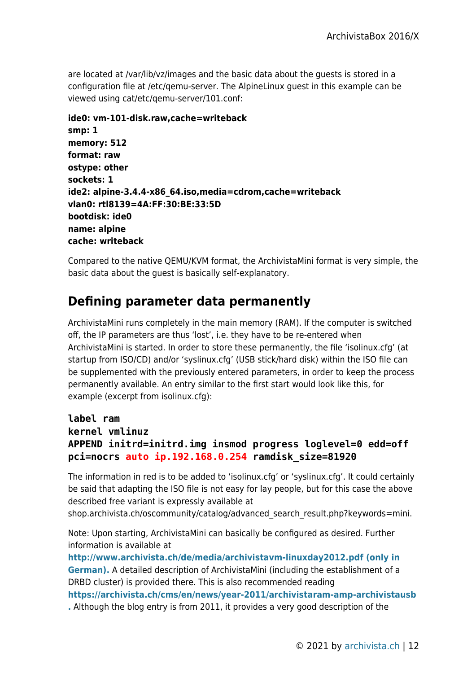are located at /var/lib/vz/images and the basic data about the guests is stored in a configuration file at /etc/qemu-server. The AlpineLinux guest in this example can be viewed using cat/etc/qemu-server/101.conf:

```
ide0: vm-101-disk.raw,cache=writeback
smp: 1
memory: 512
format: raw
ostype: other
sockets: 1
ide2: alpine-3.4.4-x86_64.iso,media=cdrom,cache=writeback
vlan0: rtl8139=4A:FF:30:BE:33:5D
bootdisk: ide0
name: alpine
cache: writeback
```
Compared to the native QEMU/KVM format, the ArchivistaMini format is very simple, the basic data about the guest is basically self-explanatory.

# **Defining parameter data permanently**

ArchivistaMini runs completely in the main memory (RAM). If the computer is switched off, the IP parameters are thus 'lost', i.e. they have to be re-entered when ArchivistaMini is started. In order to store these permanently, the file 'isolinux.cfg' (at startup from ISO/CD) and/or 'syslinux.cfg' (USB stick/hard disk) within the ISO file can be supplemented with the previously entered parameters, in order to keep the process permanently available. An entry similar to the first start would look like this, for example (excerpt from isolinux.cfg):

```
label ram
kernel vmlinuz
APPEND initrd=initrd.img insmod progress loglevel=0 edd=off
pci=nocrs auto ip.192.168.0.254 ramdisk_size=81920
```
The information in red is to be added to 'isolinux.cfg' or 'syslinux.cfg'. It could certainly be said that adapting the ISO file is not easy for lay people, but for this case the above described free variant is expressly available at

shop.archivista.ch/oscommunity/catalog/advanced search result.php?keywords=mini.

Note: Upon starting, ArchivistaMini can basically be configured as desired. Further information is available at

**[http://www.archivista.ch/de/media/archivistavm-linuxday2012.pdf \(only in](http://www.archivista.ch/de/media/archivistavm-linuxday2012.pdf) [German\).](http://www.archivista.ch/de/media/archivistavm-linuxday2012.pdf)** A detailed description of ArchivistaMini (including the establishment of a DRBD cluster) is provided there. This is also recommended reading **<https://archivista.ch/cms/en/news/year-2011/archivistaram-amp-archivistausb>**

**[.](https://archivista.ch/cms/en/news/year-2011/archivistaram-amp-archivistausb)** Although the blog entry is from 2011, it provides a very good description of the